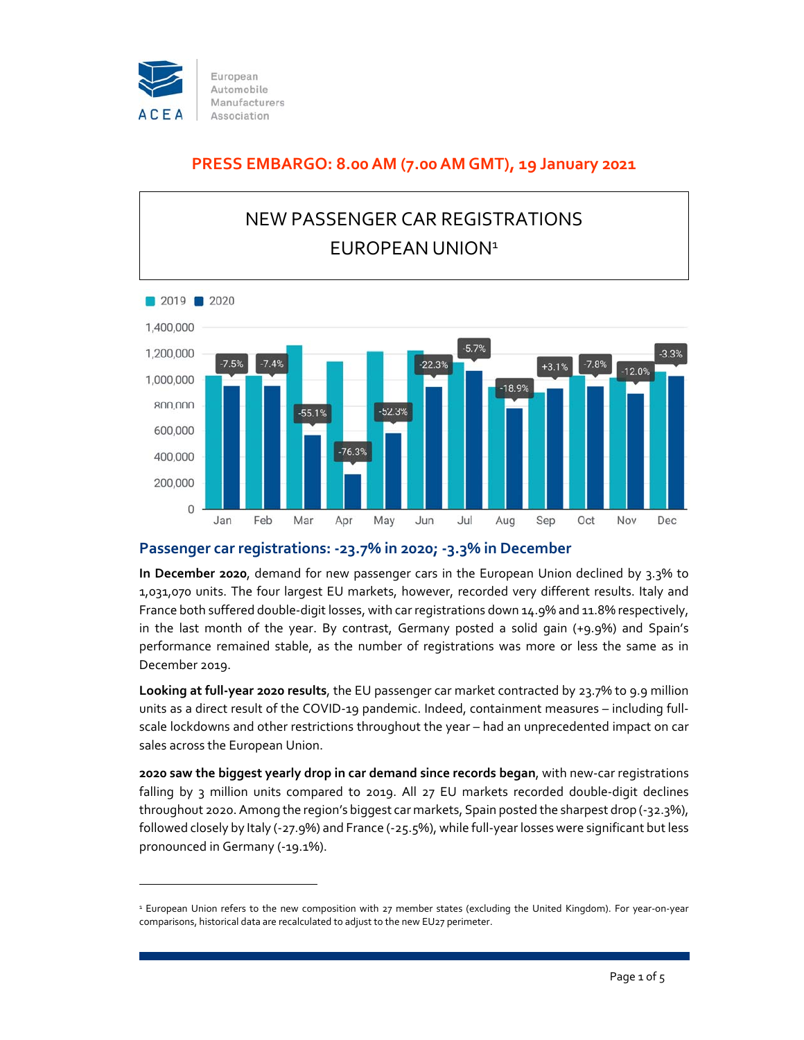

## **PRESS EMBARGO: 8.00 AM (7.00 AM GMT), 19 January 2021**



### **Passenger car registrations: ‐23.7% in 2020; ‐3.3% in December**

**In December 2020**, demand for new passenger cars in the European Union declined by 3.3% to 1,031,070 units. The four largest EU markets, however, recorded very different results. Italy and France both suffered double‐digit losses, with car registrations down 14.9% and 11.8% respectively, in the last month of the year. By contrast, Germany posted a solid gain (+9.9%) and Spain's performance remained stable, as the number of registrations was more or less the same as in December 2019.

**Looking at full‐year 2020 results**, the EU passenger car market contracted by 23.7% to 9.9 million units as a direct result of the COVID-19 pandemic. Indeed, containment measures – including fullscale lockdowns and other restrictions throughout the year – had an unprecedented impact on car sales across the European Union.

**2020 saw the biggest yearly drop in car demand since records began**, with new‐car registrations falling by 3 million units compared to 2019. All 27 EU markets recorded double-digit declines throughout 2020. Among the region's biggest car markets, Spain posted the sharpest drop (‐32.3%), followed closely by Italy (‐27.9%) and France (‐25.5%), while full‐year losses were significant butless pronounced in Germany (‐19.1%).

<sup>1</sup> European Union refers to the new composition with 27 member states (excluding the United Kingdom). For year‐on‐year comparisons, historical data are recalculated to adjust to the new EU27 perimeter.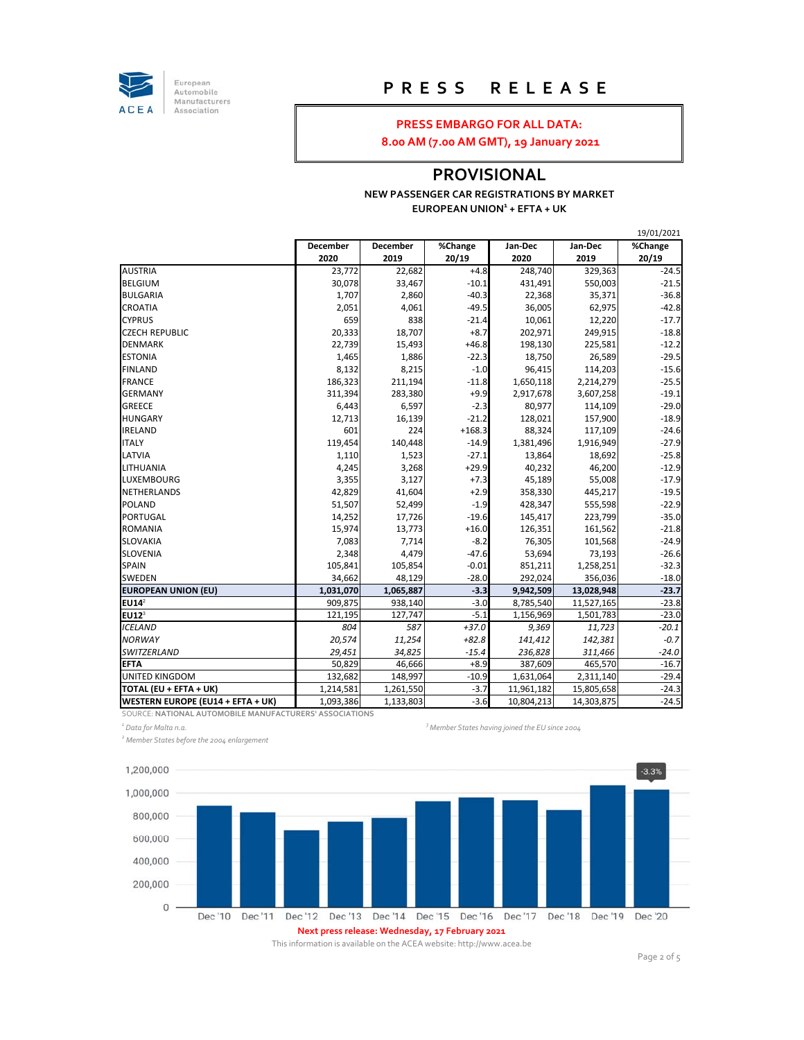

European<br>Automobile Manufacturers Association

## **P R E S S R E L E A S E**

#### **PRESS EMBARGO FOR ALL DATA:**

**8.00 AM (7.00 AM GMT), 19 January 2021**

## **PROVISIONAL**

#### **NEW PASSENGER CAR REGISTRATIONS BY MARKET EUROPEAN UNION1 + EFTA + UK**

|                                   |           |           |          |            |            | 19/01/2021 |
|-----------------------------------|-----------|-----------|----------|------------|------------|------------|
|                                   | December  | December  | %Change  | Jan-Dec    | Jan-Dec    | %Change    |
|                                   | 2020      | 2019      | 20/19    | 2020       | 2019       | 20/19      |
| <b>AUSTRIA</b>                    | 23,772    | 22,682    | $+4.8$   | 248,740    | 329,363    | $-24.5$    |
| <b>BELGIUM</b>                    | 30,078    | 33,467    | $-10.1$  | 431,491    | 550,003    | $-21.5$    |
| <b>BULGARIA</b>                   | 1,707     | 2,860     | $-40.3$  | 22,368     | 35,371     | $-36.8$    |
| CROATIA                           | 2,051     | 4,061     | $-49.5$  | 36,005     | 62,975     | $-42.8$    |
| <b>CYPRUS</b>                     | 659       | 838       | $-21.4$  | 10,061     | 12,220     | $-17.7$    |
| <b>CZECH REPUBLIC</b>             | 20,333    | 18,707    | $+8.7$   | 202,971    | 249,915    | $-18.8$    |
| <b>DENMARK</b>                    | 22,739    | 15,493    | $+46.8$  | 198,130    | 225,581    | $-12.2$    |
| <b>ESTONIA</b>                    | 1,465     | 1,886     | $-22.3$  | 18,750     | 26,589     | $-29.5$    |
| <b>FINLAND</b>                    | 8,132     | 8,215     | $-1.0$   | 96,415     | 114,203    | $-15.6$    |
| <b>FRANCE</b>                     | 186,323   | 211,194   | $-11.8$  | 1,650,118  | 2,214,279  | $-25.5$    |
| <b>GERMANY</b>                    | 311,394   | 283,380   | $+9.9$   | 2,917,678  | 3,607,258  | $-19.1$    |
| <b>GREECE</b>                     | 6,443     | 6,597     | $-2.3$   | 80,977     | 114,109    | $-29.0$    |
| <b>HUNGARY</b>                    | 12,713    | 16,139    | $-21.2$  | 128,021    | 157,900    | $-18.9$    |
| IRELAND                           | 601       | 224       | $+168.3$ | 88,324     | 117,109    | $-24.6$    |
| <b>ITALY</b>                      | 119,454   | 140,448   | $-14.9$  | 1,381,496  | 1,916,949  | $-27.9$    |
| LATVIA                            | 1,110     | 1,523     | $-27.1$  | 13,864     | 18,692     | $-25.8$    |
| LITHUANIA                         | 4,245     | 3,268     | $+29.9$  | 40,232     | 46,200     | $-12.9$    |
| LUXEMBOURG                        | 3,355     | 3,127     | $+7.3$   | 45,189     | 55,008     | $-17.9$    |
| NETHERLANDS                       | 42,829    | 41,604    | $+2.9$   | 358,330    | 445,217    | $-19.5$    |
| <b>POLAND</b>                     | 51,507    | 52,499    | $-1.9$   | 428,347    | 555,598    | $-22.9$    |
| PORTUGAL                          | 14,252    | 17,726    | $-19.6$  | 145,417    | 223,799    | $-35.0$    |
| <b>ROMANIA</b>                    | 15,974    | 13,773    | $+16.0$  | 126,351    | 161,562    | $-21.8$    |
| SLOVAKIA                          | 7,083     | 7,714     | $-8.2$   | 76,305     | 101,568    | $-24.9$    |
| SLOVENIA                          | 2,348     | 4,479     | $-47.6$  | 53,694     | 73,193     | $-26.6$    |
| SPAIN                             | 105,841   | 105,854   | $-0.01$  | 851,211    | 1,258,251  | $-32.3$    |
| SWEDEN                            | 34,662    | 48,129    | $-28.0$  | 292,024    | 356,036    | $-18.0$    |
| <b>EUROPEAN UNION (EU)</b>        | 1,031,070 | 1,065,887 | $-3.3$   | 9,942,509  | 13,028,948 | $-23.7$    |
| EUI4 <sup>2</sup>                 | 909,875   | 938,140   | $-3.0$   | 8,785,540  | 11,527,165 | $-23.8$    |
| $EU12^3$                          | 121,195   | 127,747   | $-5.1$   | 1,156,969  | 1,501,783  | $-23.0$    |
| <b>ICELAND</b>                    | 804       | 587       | $+37.0$  | 9,369      | 11,723     | $-20.1$    |
| <b>NORWAY</b>                     | 20,574    | 11,254    | $+82.8$  | 141,412    | 142,381    | $-0.7$     |
| SWITZERLAND                       | 29,451    | 34,825    | $-15.4$  | 236,828    | 311,466    | $-24.0$    |
| <b>EFTA</b>                       | 50,829    | 46,666    | $+8.9$   | 387,609    | 465,570    | $-16.7$    |
| <b>UNITED KINGDOM</b>             | 132,682   | 148,997   | $-10.9$  | 1,631,064  | 2,311,140  | $-29.4$    |
| TOTAL (EU + EFTA + UK)            | 1,214,581 | 1,261,550 | -3.7     | 11,961,182 | 15,805,658 | $-24.3$    |
| WESTERN EUROPE (EU14 + EFTA + UK) | 1,093,386 | 1,133,803 | $-3.6$   | 10,804,213 | 14,303,875 | $-24.5$    |

SOURCE: **NATIONAL AUTOMOBILE MANUFACTURERS' ASSOCIATIONS**

*1 Data for Malta n.a. <sup>3</sup>*

*<sup>2</sup> Member States before the 2004 enlargement*



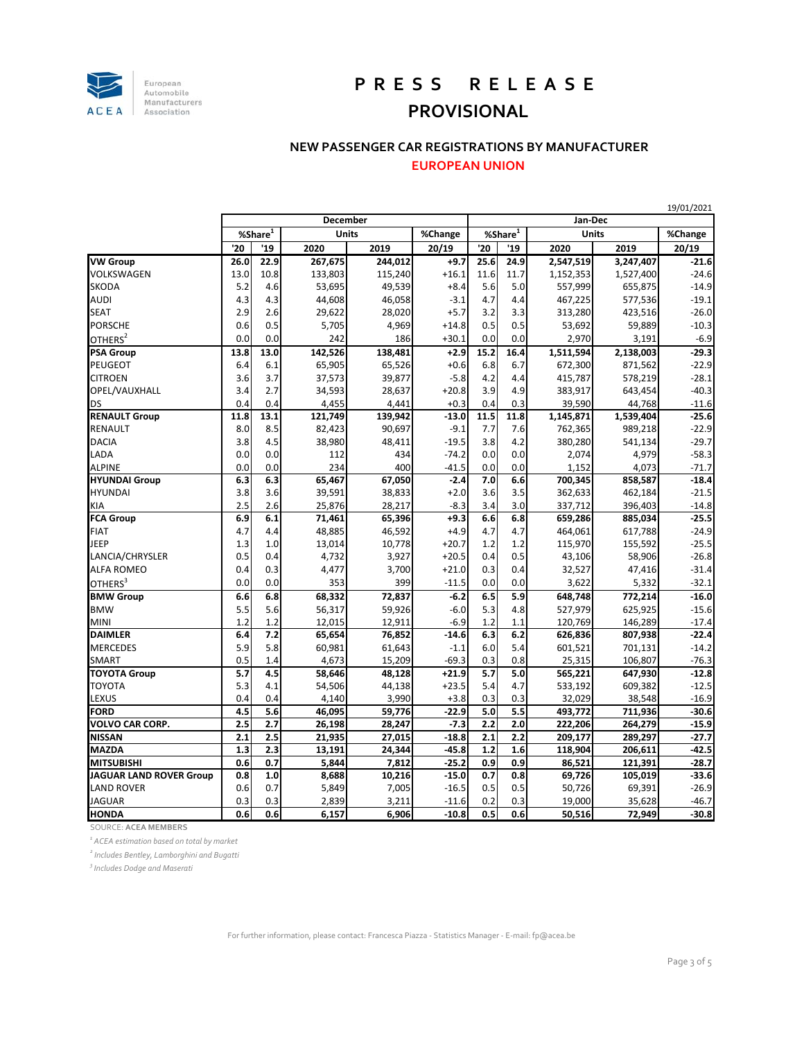

# **P R E S S R E L E A S E PROVISIONAL**

#### **NEW PASSENGER CAR REGISTRATIONS BY MANUFACTURER**

**EUROPEAN UNION**

|                                |            |      |              |         |         |            |         |              |           | 19/01/2021 |  |  |
|--------------------------------|------------|------|--------------|---------|---------|------------|---------|--------------|-----------|------------|--|--|
|                                | December   |      |              |         |         |            | Jan-Dec |              |           |            |  |  |
|                                | %Share $1$ |      | <b>Units</b> |         | %Change | %Share $1$ |         | <b>Units</b> |           | %Change    |  |  |
|                                | '20        | '19  | 2020         | 2019    | 20/19   | '20        | '19     | 2020         | 2019      | 20/19      |  |  |
| <b>VW Group</b>                | 26.0       | 22.9 | 267,675      | 244,012 | $+9.7$  | 25.6       | 24.9    | 2,547,519    | 3,247,407 | $-21.6$    |  |  |
| VOLKSWAGEN                     | 13.0       | 10.8 | 133,803      | 115,240 | $+16.1$ | 11.6       | 11.7    | 1,152,353    | 1,527,400 | $-24.6$    |  |  |
| <b>SKODA</b>                   | 5.2        | 4.6  | 53,695       | 49,539  | $+8.4$  | 5.6        | 5.0     | 557,999      | 655,875   | $-14.9$    |  |  |
| <b>AUDI</b>                    | 4.3        | 4.3  | 44,608       | 46,058  | $-3.1$  | 4.7        | 4.4     | 467,225      | 577,536   | $-19.1$    |  |  |
| <b>SEAT</b>                    | 2.9        | 2.6  | 29,622       | 28,020  | $+5.7$  | 3.2        | 3.3     | 313,280      | 423,516   | $-26.0$    |  |  |
| <b>PORSCHE</b>                 | 0.6        | 0.5  | 5,705        | 4,969   | $+14.8$ | 0.5        | 0.5     | 53,692       | 59,889    | $-10.3$    |  |  |
| OTHERS <sup>2</sup>            | 0.0        | 0.0  | 242          | 186     | $+30.1$ | 0.0        | 0.0     | 2,970        | 3,191     | $-6.9$     |  |  |
| <b>PSA Group</b>               | 13.8       | 13.0 | 142,526      | 138,481 | $+2.9$  | 15.2       | 16.4    | 1,511,594    | 2,138,003 | $-29.3$    |  |  |
| <b>PEUGEOT</b>                 | 6.4        | 6.1  | 65,905       | 65,526  | $+0.6$  | 6.8        | 6.7     | 672,300      | 871,562   | $-22.9$    |  |  |
| <b>CITROEN</b>                 | 3.6        | 3.7  | 37,573       | 39,877  | $-5.8$  | 4.2        | 4.4     | 415,787      | 578,219   | $-28.1$    |  |  |
| OPEL/VAUXHALL                  | 3.4        | 2.7  | 34,593       | 28,637  | $+20.8$ | 3.9        | 4.9     | 383,917      | 643,454   | $-40.3$    |  |  |
| <b>DS</b>                      | 0.4        | 0.4  | 4,455        | 4,441   | $+0.3$  | 0.4        | 0.3     | 39,590       | 44,768    | $-11.6$    |  |  |
| <b>RENAULT Group</b>           | 11.8       | 13.1 | 121,749      | 139,942 | $-13.0$ | 11.5       | 11.8    | 1,145,871    | 1,539,404 | $-25.6$    |  |  |
| <b>RENAULT</b>                 | 8.0        | 8.5  | 82,423       | 90,697  | $-9.1$  | 7.7        | 7.6     | 762,365      | 989,218   | $-22.9$    |  |  |
| <b>DACIA</b>                   | 3.8        | 4.5  | 38,980       | 48,411  | $-19.5$ | 3.8        | 4.2     | 380,280      | 541,134   | $-29.7$    |  |  |
| LADA                           | 0.0        | 0.0  | 112          | 434     | $-74.2$ | 0.0        | 0.0     | 2,074        | 4,979     | $-58.3$    |  |  |
| <b>ALPINE</b>                  | 0.0        | 0.0  | 234          | 400     | $-41.5$ | 0.0        | 0.0     | 1,152        | 4,073     | $-71.7$    |  |  |
| <b>HYUNDAI</b> Group           | 6.3        | 6.3  | 65,467       | 67,050  | $-2.4$  | 7.0        | 6.6     | 700,345      | 858,587   | $-18.4$    |  |  |
| <b>HYUNDAI</b>                 | 3.8        | 3.6  | 39,591       | 38,833  | $+2.0$  | 3.6        | 3.5     | 362,633      | 462,184   | $-21.5$    |  |  |
| <b>KIA</b>                     | 2.5        | 2.6  | 25,876       | 28,217  | $-8.3$  | 3.4        | 3.0     | 337,712      | 396,403   | $-14.8$    |  |  |
| <b>FCA Group</b>               | 6.9        | 6.1  | 71,461       | 65,396  | $+9.3$  | 6.6        | 6.8     | 659,286      | 885,034   | $-25.5$    |  |  |
| <b>FIAT</b>                    | 4.7        | 4.4  | 48,885       | 46,592  | $+4.9$  | 4.7        | 4.7     | 464,061      | 617,788   | $-24.9$    |  |  |
| <b>JEEP</b>                    | 1.3        | 1.0  | 13,014       | 10,778  | $+20.7$ | 1.2        | 1.2     | 115,970      | 155,592   | $-25.5$    |  |  |
| LANCIA/CHRYSLER                | 0.5        | 0.4  | 4,732        | 3,927   | $+20.5$ | 0.4        | 0.5     | 43,106       | 58,906    | $-26.8$    |  |  |
| <b>ALFA ROMEO</b>              | 0.4        | 0.3  | 4,477        | 3,700   | $+21.0$ | 0.3        | 0.4     | 32,527       | 47,416    | $-31.4$    |  |  |
| OTHERS <sup>3</sup>            | 0.0        | 0.0  | 353          | 399     | $-11.5$ | 0.0        | 0.0     | 3,622        | 5,332     | $-32.1$    |  |  |
| <b>BMW Group</b>               | 6.6        | 6.8  | 68,332       | 72,837  | $-6.2$  | 6.5        | 5.9     | 648,748      | 772,214   | $-16.0$    |  |  |
| <b>BMW</b>                     | 5.5        | 5.6  | 56,317       | 59,926  | $-6.0$  | 5.3        | 4.8     | 527,979      | 625,925   | $-15.6$    |  |  |
| <b>MINI</b>                    | 1.2        | 1.2  | 12,015       | 12,911  | $-6.9$  | 1.2        | 1.1     | 120,769      | 146,289   | $-17.4$    |  |  |
| <b>DAIMLER</b>                 | 6.4        | 7.2  | 65,654       | 76,852  | $-14.6$ | 6.3        | 6.2     | 626,836      | 807,938   | $-22.4$    |  |  |
| <b>MERCEDES</b>                | 5.9        | 5.8  | 60,981       | 61,643  | $-1.1$  | 6.0        | 5.4     | 601,521      | 701,131   | $-14.2$    |  |  |
| <b>SMART</b>                   | 0.5        | 1.4  | 4,673        | 15,209  | $-69.3$ | 0.3        | 0.8     | 25,315       | 106,807   | $-76.3$    |  |  |
| <b>TOYOTA Group</b>            | 5.7        | 4.5  | 58,646       | 48,128  | $+21.9$ | 5.7        | 5.0     | 565,221      | 647,930   | $-12.8$    |  |  |
| <b>TOYOTA</b>                  | 5.3        | 4.1  | 54,506       | 44,138  | $+23.5$ | 5.4        | 4.7     | 533,192      | 609,382   | $-12.5$    |  |  |
| <b>LEXUS</b>                   | 0.4        | 0.4  | 4,140        | 3,990   | $+3.8$  | 0.3        | 0.3     | 32,029       | 38,548    | $-16.9$    |  |  |
| <b>FORD</b>                    | 4.5        | 5.6  | 46,095       | 59,776  | $-22.9$ | 5.0        | 5.5     | 493,772      | 711,936   | $-30.6$    |  |  |
| <b>VOLVO CAR CORP.</b>         | 2.5        | 2.7  | 26,198       | 28,247  | $-7.3$  | 2.2        | 2.0     | 222,206      | 264,279   | $-15.9$    |  |  |
| <b>NISSAN</b>                  | 2.1        | 2.5  | 21,935       | 27,015  | $-18.8$ | 2.1        | 2.2     | 209,177      | 289,297   | $-27.7$    |  |  |
| <b>MAZDA</b>                   | 1.3        | 2.3  | 13,191       | 24,344  | $-45.8$ | 1.2        | 1.6     | 118,904      | 206,611   | $-42.5$    |  |  |
| <b>MITSUBISHI</b>              | 0.6        | 0.7  | 5,844        | 7,812   | $-25.2$ | 0.9        | 0.9     | 86,521       | 121,391   | $-28.7$    |  |  |
| <b>JAGUAR LAND ROVER Group</b> | 0.8        | 1.0  | 8,688        | 10,216  | $-15.0$ | 0.7        | 0.8     | 69,726       | 105,019   | $-33.6$    |  |  |
| <b>LAND ROVER</b>              | 0.6        | 0.7  | 5,849        | 7,005   | $-16.5$ | 0.5        | 0.5     | 50,726       | 69,391    | $-26.9$    |  |  |
| <b>JAGUAR</b>                  | 0.3        | 0.3  | 2,839        | 3,211   | $-11.6$ | 0.2        | 0.3     | 19,000       | 35,628    | $-46.7$    |  |  |
| <b>HONDA</b>                   | 0.6        | 0.6  | 6,157        | 6,906   | $-10.8$ | 0.5        | 0.6     | 50,516       | 72,949    | $-30.8$    |  |  |
|                                |            |      |              |         |         |            |         |              |           |            |  |  |

SOURCE: **ACEA MEMBERS**

*1 ACEA estimation based on total by market*

*<sup>2</sup> Includes Bentley, Lamborghini and Bugatti*

*3 Includes Dodge and Maserati*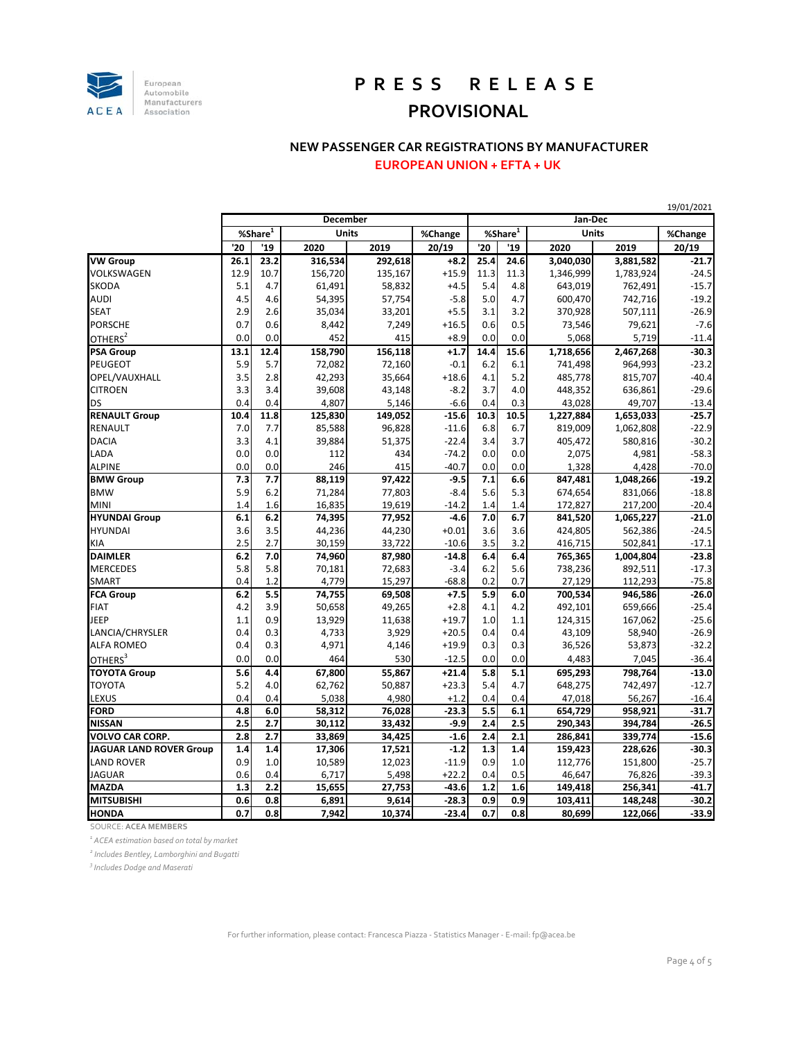

# **P R E S S R E L E A S E PROVISIONAL**

### **NEW PASSENGER CAR REGISTRATIONS BY MANUFACTURER**

**EUROPEAN UNION + EFTA + UK**

|                                |                        |      |              |         |         |               |      | 19/01/2021   |           |         |
|--------------------------------|------------------------|------|--------------|---------|---------|---------------|------|--------------|-----------|---------|
|                                | <b>December</b>        |      |              |         | Jan-Dec |               |      |              |           |         |
|                                | $%$ Share <sup>1</sup> |      | <b>Units</b> |         | %Change | $%$ Share $1$ |      | <b>Units</b> |           | %Change |
|                                | '20                    | '19  | 2020         | 2019    | 20/19   | '20           | '19  | 2020         | 2019      | 20/19   |
| <b>VW</b> Group                | 26.1                   | 23.2 | 316,534      | 292,618 | $+8.2$  | 25.4          | 24.6 | 3,040,030    | 3,881,582 | $-21.7$ |
| VOLKSWAGEN                     | 12.9                   | 10.7 | 156,720      | 135,167 | $+15.9$ | 11.3          | 11.3 | 1,346,999    | 1,783,924 | $-24.5$ |
| <b>SKODA</b>                   | 5.1                    | 4.7  | 61,491       | 58,832  | $+4.5$  | 5.4           | 4.8  | 643,019      | 762,491   | $-15.7$ |
| <b>AUDI</b>                    | 4.5                    | 4.6  | 54,395       | 57,754  | $-5.8$  | 5.0           | 4.7  | 600,470      | 742,716   | $-19.2$ |
| <b>SEAT</b>                    | 2.9                    | 2.6  | 35,034       | 33,201  | $+5.5$  | 3.1           | 3.2  | 370,928      | 507,111   | $-26.9$ |
| <b>PORSCHE</b>                 | 0.7                    | 0.6  | 8,442        | 7,249   | $+16.5$ | 0.6           | 0.5  | 73,546       | 79,621    | $-7.6$  |
| OTHERS <sup>2</sup>            | 0.0                    | 0.0  | 452          | 415     | $+8.9$  | 0.0           | 0.0  | 5,068        | 5,719     | $-11.4$ |
| <b>PSA Group</b>               | 13.1                   | 12.4 | 158,790      | 156,118 | $+1.7$  | 14.4          | 15.6 | 1,718,656    | 2,467,268 | $-30.3$ |
| <b>PEUGEOT</b>                 | 5.9                    | 5.7  | 72,082       | 72,160  | $-0.1$  | 6.2           | 6.1  | 741,498      | 964,993   | $-23.2$ |
| OPEL/VAUXHALL                  | 3.5                    | 2.8  | 42,293       | 35,664  | $+18.6$ | 4.1           | 5.2  | 485,778      | 815,707   | $-40.4$ |
| <b>CITROEN</b>                 | 3.3                    | 3.4  | 39,608       | 43,148  | $-8.2$  | 3.7           | 4.0  | 448,352      | 636,861   | $-29.6$ |
| <b>DS</b>                      | 0.4                    | 0.4  | 4,807        | 5,146   | $-6.6$  | 0.4           | 0.3  | 43,028       | 49,707    | $-13.4$ |
| <b>RENAULT Group</b>           | 10.4                   | 11.8 | 125,830      | 149,052 | $-15.6$ | 10.3          | 10.5 | 1,227,884    | 1,653,033 | $-25.7$ |
| <b>RENAULT</b>                 | 7.0                    | 7.7  | 85,588       | 96,828  | $-11.6$ | 6.8           | 6.7  | 819,009      | 1,062,808 | $-22.9$ |
| <b>DACIA</b>                   | 3.3                    | 4.1  | 39,884       | 51,375  | $-22.4$ | 3.4           | 3.7  | 405,472      | 580,816   | $-30.2$ |
| LADA                           | 0.0                    | 0.0  | 112          | 434     | $-74.2$ | 0.0           | 0.0  | 2,075        | 4,981     | $-58.3$ |
| <b>ALPINE</b>                  | 0.0                    | 0.0  | 246          | 415     | $-40.7$ | 0.0           | 0.0  | 1,328        | 4,428     | $-70.0$ |
| <b>BMW</b> Group               | 7.3                    | 7.7  | 88,119       | 97,422  | $-9.5$  | 7.1           | 6.6  | 847,481      | 1,048,266 | $-19.2$ |
| <b>BMW</b>                     | 5.9                    | 6.2  | 71,284       | 77,803  | $-8.4$  | 5.6           | 5.3  | 674,654      | 831,066   | $-18.8$ |
| <b>MINI</b>                    | 1.4                    | 1.6  | 16,835       | 19,619  | $-14.2$ | 1.4           | 1.4  | 172,827      | 217,200   | $-20.4$ |
| <b>HYUNDAI Group</b>           | 6.1                    | 6.2  | 74,395       | 77,952  | $-4.6$  | 7.0           | 6.7  | 841,520      | 1,065,227 | $-21.0$ |
| <b>HYUNDAI</b>                 | 3.6                    | 3.5  | 44,236       | 44,230  | $+0.01$ | 3.6           | 3.6  | 424,805      | 562,386   | $-24.5$ |
| KIA                            | 2.5                    | 2.7  | 30,159       | 33,722  | $-10.6$ | 3.5           | 3.2  | 416,715      | 502,841   | $-17.1$ |
| <b>DAIMLER</b>                 | 6.2                    | 7.0  | 74,960       | 87,980  | $-14.8$ | 6.4           | 6.4  | 765,365      | 1,004,804 | $-23.8$ |
| <b>MERCEDES</b>                | 5.8                    | 5.8  | 70,181       | 72,683  | $-3.4$  | 6.2           | 5.6  | 738,236      | 892,511   | $-17.3$ |
| <b>SMART</b>                   | 0.4                    | 1.2  | 4,779        | 15,297  | $-68.8$ | 0.2           | 0.7  | 27,129       | 112,293   | $-75.8$ |
| <b>FCA Group</b>               | 6.2                    | 5.5  | 74,755       | 69,508  | $+7.5$  | 5.9           | 6.0  | 700,534      | 946,586   | $-26.0$ |
| <b>FIAT</b>                    | 4.2                    | 3.9  | 50,658       | 49,265  | $+2.8$  | 4.1           | 4.2  | 492,101      | 659,666   | $-25.4$ |
| JEEP                           | 1.1                    | 0.9  | 13,929       | 11,638  | $+19.7$ | 1.0           | 1.1  | 124,315      | 167,062   | $-25.6$ |
| LANCIA/CHRYSLER                | 0.4                    | 0.3  | 4,733        | 3,929   | $+20.5$ | 0.4           | 0.4  | 43,109       | 58,940    | $-26.9$ |
| <b>ALFA ROMEO</b>              | 0.4                    | 0.3  | 4,971        | 4,146   | $+19.9$ | 0.3           | 0.3  | 36,526       | 53,873    | $-32.2$ |
| OTHERS <sup>3</sup>            | 0.0                    | 0.0  | 464          | 530     | $-12.5$ | 0.0           | 0.0  | 4,483        | 7,045     | $-36.4$ |
| <b>TOYOTA Group</b>            | 5.6                    | 4.4  | 67,800       | 55,867  | $+21.4$ | 5.8           | 5.1  | 695,293      | 798,764   | $-13.0$ |
| <b>TOYOTA</b>                  | 5.2                    | 4.0  | 62,762       | 50,887  | $+23.3$ | 5.4           | 4.7  | 648,275      | 742,497   | $-12.7$ |
| LEXUS                          | 0.4                    | 0.4  | 5,038        | 4,980   | $+1.2$  | 0.4           | 0.4  | 47,018       | 56,267    | $-16.4$ |
| <b>FORD</b>                    | 4.8                    | 6.0  | 58,312       | 76,028  | $-23.3$ | 5.5           | 6.1  | 654,729      | 958,921   | $-31.7$ |
| <b>NISSAN</b>                  | 2.5                    | 2.7  | 30,112       | 33,432  | $-9.9$  | 2.4           | 2.5  | 290,343      | 394,784   | $-26.5$ |
| <b>VOLVO CAR CORP.</b>         | 2.8                    | 2.7  | 33,869       | 34,425  | $-1.6$  | 2.4           | 2.1  | 286,841      | 339,774   | $-15.6$ |
| <b>JAGUAR LAND ROVER Group</b> | 1.4                    | 1.4  | 17,306       | 17,521  | $-1.2$  | 1.3           | 1.4  | 159,423      | 228,626   | $-30.3$ |
| <b>LAND ROVER</b>              | 0.9                    | 1.0  | 10,589       | 12,023  | $-11.9$ | 0.9           | 1.0  | 112,776      | 151,800   | $-25.7$ |
| <b>JAGUAR</b>                  | 0.6                    | 0.4  | 6,717        | 5,498   | $+22.2$ | 0.4           | 0.5  | 46,647       | 76,826    | $-39.3$ |
| <b>MAZDA</b>                   | 1.3                    | 2.2  | 15,655       | 27,753  | $-43.6$ | 1.2           | 1.6  | 149,418      | 256,341   | $-41.7$ |
| <b>MITSUBISHI</b>              | 0.6                    | 0.8  | 6,891        | 9,614   | $-28.3$ | 0.9           | 0.9  | 103,411      | 148,248   | $-30.2$ |
| <b>HONDA</b>                   | 0.7                    | 0.8  | 7,942        | 10,374  | $-23.4$ | 0.7           | 0.8  | 80,699       | 122,066   | $-33.9$ |

SOURCE: **ACEA MEMBERS**

*1 ACEA estimation based on total by market*

*<sup>2</sup> Includes Bentley, Lamborghini and Bugatti*

*3 Includes Dodge and Maserati*